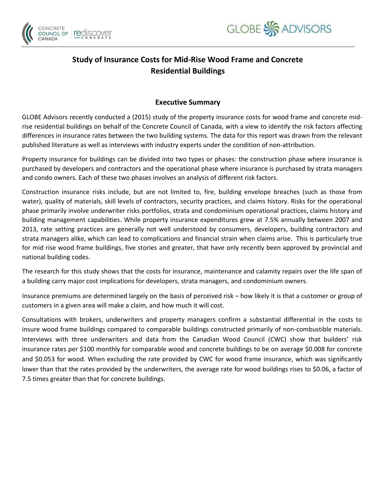



# **Study of Insurance Costs for Mid-Rise Wood Frame and Concrete Residential Buildings**

## **Executive Summary**

GLOBE Advisors recently conducted a (2015) study of the property insurance costs for wood frame and concrete midrise residential buildings on behalf of the Concrete Council of Canada, with a view to identify the risk factors affecting differences in insurance rates between the two building systems. The data for this report was drawn from the relevant published literature as well as interviews with industry experts under the condition of non-attribution.

Property insurance for buildings can be divided into two types or phases: the construction phase where insurance is purchased by developers and contractors and the operational phase where insurance is purchased by strata managers and condo owners. Each of these two phases involves an analysis of different risk factors.

Construction insurance risks include, but are not limited to, fire, building envelope breaches (such as those from water), quality of materials, skill levels of contractors, security practices, and claims history. Risks for the operational phase primarily involve underwriter risks portfolios, strata and condominium operational practices, claims history and building management capabilities. While property insurance expenditures grew at 7.5% annually between 2007 and 2013, rate setting practices are generally not well understood by consumers, developers, building contractors and strata managers alike, which can lead to complications and financial strain when claims arise. This is particularly true for mid rise wood frame buildings, five stories and greater, that have only recently been approved by provincial and national building codes.

The research for this study shows that the costs for insurance, maintenance and calamity repairs over the life span of a building carry major cost implications for developers, strata managers, and condominium owners.

Insurance premiums are determined largely on the basis of perceived risk – how likely it is that a customer or group of customers in a given area will make a claim, and how much it will cost.

Consultations with brokers, underwriters and property managers confirm a substantial differential in the costs to insure wood frame buildings compared to comparable buildings constructed primarily of non-combustible materials. Interviews with three underwriters and data from the Canadian Wood Council (CWC) show that builders' risk insurance rates per \$100 monthly for comparable wood and concrete buildings to be on average \$0.008 for concrete and \$0.053 for wood. When excluding the rate provided by CWC for wood frame insurance, which was significantly lower than that the rates provided by the underwriters, the average rate for wood buildings rises to \$0.06, a factor of 7.5 times greater than that for concrete buildings.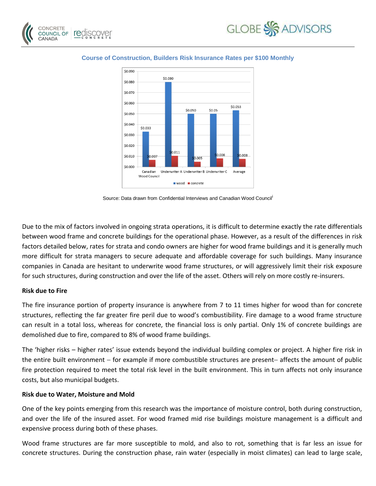





#### **Course of Construction, Builders Risk Insurance Rates per \$100 Monthly**

Source: Data drawn from Confidential Interviews and Canadian Wood Council<sup>i</sup>

Due to the mix of factors involved in ongoing strata operations, it is difficult to determine exactly the rate differentials between wood frame and concrete buildings for the operational phase. However, as a result of the differences in risk factors detailed below, rates for strata and condo owners are higher for wood frame buildings and it is generally much more difficult for strata managers to secure adequate and affordable coverage for such buildings. Many insurance companies in Canada are hesitant to underwrite wood frame structures, or will aggressively limit their risk exposure for such structures, during construction and over the life of the asset. Others will rely on more costly re-insurers.

### **Risk due to Fire**

The fire insurance portion of property insurance is anywhere from 7 to 11 times higher for wood than for concrete structures, reflecting the far greater fire peril due to wood's combustibility. Fire damage to a wood frame structure can result in a total loss, whereas for concrete, the financial loss is only partial. Only 1% of concrete buildings are demolished due to fire, compared to 8% of wood frame buildings.

The 'higher risks – higher rates' issue extends beyond the individual building complex or project. A higher fire risk in the entire built environment – for example if more combustible structures are present– affects the amount of public fire protection required to meet the total risk level in the built environment. This in turn affects not only insurance costs, but also municipal budgets.

### **Risk due to Water, Moisture and Mold**

One of the key points emerging from this research was the importance of moisture control, both during construction, and over the life of the insured asset. For wood framed mid rise buildings moisture management is a difficult and expensive process during both of these phases.

Wood frame structures are far more susceptible to mold, and also to rot, something that is far less an issue for concrete structures. During the construction phase, rain water (especially in moist climates) can lead to large scale,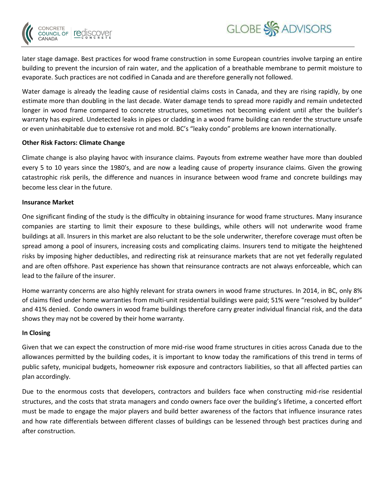

Water damage is already the leading cause of residential claims costs in Canada, and they are rising rapidly, by one estimate more than doubling in the last decade. Water damage tends to spread more rapidly and remain undetected longer in wood frame compared to concrete structures, sometimes not becoming evident until after the builder's warranty has expired. Undetected leaks in pipes or cladding in a wood frame building can render the structure unsafe or even uninhabitable due to extensive rot and mold. BC's "leaky condo" problems are known internationally.

### **Other Risk Factors: Climate Change**

Climate change is also playing havoc with insurance claims. Payouts from extreme weather have more than doubled every 5 to 10 years since the 1980's, and are now a leading cause of property insurance claims. Given the growing catastrophic risk perils, the difference and nuances in insurance between wood frame and concrete buildings may become less clear in the future.

### **Insurance Market**

CONCRETE COUNCIL OF CANADA

One significant finding of the study is the difficulty in obtaining insurance for wood frame structures. Many insurance companies are starting to limit their exposure to these buildings, while others will not underwrite wood frame buildings at all. Insurers in this market are also reluctant to be the sole underwriter, therefore coverage must often be spread among a pool of insurers, increasing costs and complicating claims. Insurers tend to mitigate the heightened risks by imposing higher deductibles, and redirecting risk at reinsurance markets that are not yet federally regulated and are often offshore. Past experience has shown that reinsurance contracts are not always enforceable, which can lead to the failure of the insurer.

Home warranty concerns are also highly relevant for strata owners in wood frame structures. In 2014, in BC, only 8% of claims filed under home warranties from multi-unit residential buildings were paid; 51% were "resolved by builder" and 41% denied. Condo owners in wood frame buildings therefore carry greater individual financial risk, and the data shows they may not be covered by their home warranty.

## **In Closing**

Given that we can expect the construction of more mid-rise wood frame structures in cities across Canada due to the allowances permitted by the building codes, it is important to know today the ramifications of this trend in terms of public safety, municipal budgets, homeowner risk exposure and contractors liabilities, so that all affected parties can plan accordingly.

Due to the enormous costs that developers, contractors and builders face when constructing mid-rise residential structures, and the costs that strata managers and condo owners face over the building's lifetime, a concerted effort must be made to engage the major players and build better awareness of the factors that influence insurance rates and how rate differentials between different classes of buildings can be lessened through best practices during and after construction.